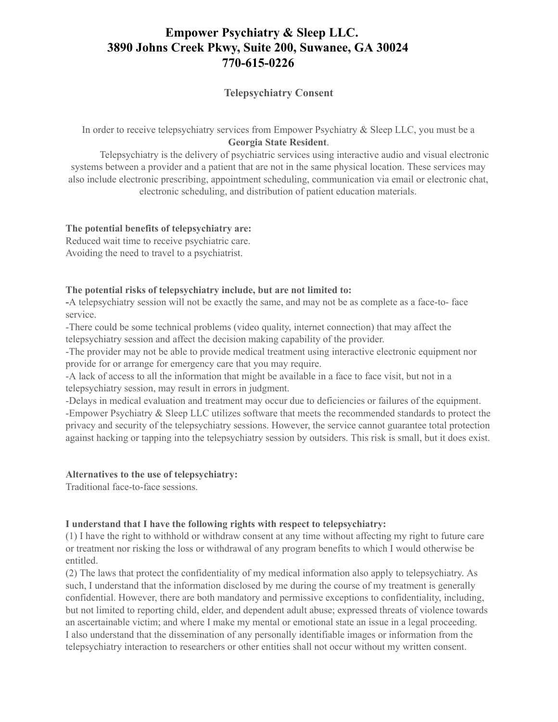# **Empower Psychiatry & Sleep LLC. 3890 Johns Creek Pkwy, Suite 200, Suwanee, GA 30024 770-615-0226**

## **Telepsychiatry Consent**

In order to receive telepsychiatry services from Empower Psychiatry & Sleep LLC, you must be a **Georgia State Resident**.

Telepsychiatry is the delivery of psychiatric services using interactive audio and visual electronic systems between a provider and a patient that are not in the same physical location. These services may also include electronic prescribing, appointment scheduling, communication via email or electronic chat, electronic scheduling, and distribution of patient education materials.

#### **The potential benefits of telepsychiatry are:**

Reduced wait time to receive psychiatric care. Avoiding the need to travel to a psychiatrist.

#### **The potential risks of telepsychiatry include, but are not limited to:**

**-**A telepsychiatry session will not be exactly the same, and may not be as complete as a face-to- face service.

-There could be some technical problems (video quality, internet connection) that may affect the telepsychiatry session and affect the decision making capability of the provider.

-The provider may not be able to provide medical treatment using interactive electronic equipment nor provide for or arrange for emergency care that you may require.

-A lack of access to all the information that might be available in a face to face visit, but not in a telepsychiatry session, may result in errors in judgment.

-Delays in medical evaluation and treatment may occur due to deficiencies or failures of the equipment. -Empower Psychiatry & Sleep LLC utilizes software that meets the recommended standards to protect the privacy and security of the telepsychiatry sessions. However, the service cannot guarantee total protection against hacking or tapping into the telepsychiatry session by outsiders. This risk is small, but it does exist.

#### **Alternatives to the use of telepsychiatry:**

Traditional face-to-face sessions.

### **I understand that I have the following rights with respect to telepsychiatry:**

(1) I have the right to withhold or withdraw consent at any time without affecting my right to future care or treatment nor risking the loss or withdrawal of any program benefits to which I would otherwise be entitled.

(2) The laws that protect the confidentiality of my medical information also apply to telepsychiatry. As such, I understand that the information disclosed by me during the course of my treatment is generally confidential. However, there are both mandatory and permissive exceptions to confidentiality, including, but not limited to reporting child, elder, and dependent adult abuse; expressed threats of violence towards an ascertainable victim; and where I make my mental or emotional state an issue in a legal proceeding. I also understand that the dissemination of any personally identifiable images or information from the telepsychiatry interaction to researchers or other entities shall not occur without my written consent.